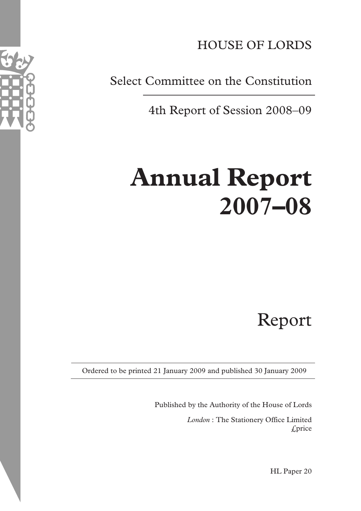

HOUSE OF LORDS

Select Committee on the Constitution

4th Report of Session 2008–09

# **Annual Report 2007–08**

Report

Ordered to be printed 21 January 2009 and published 30 January 2009

Published by the Authority of the House of Lords *London* : The Stationery Office Limited £price

HL Paper 20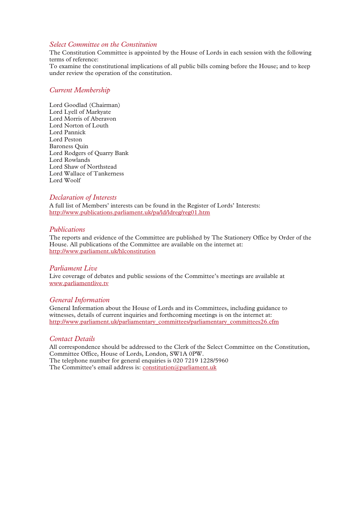#### *Select Committee on the Constitution*

The Constitution Committee is appointed by the House of Lords in each session with the following terms of reference:

To examine the constitutional implications of all public bills coming before the House; and to keep under review the operation of the constitution.

#### *Current Membership*

Lord Goodlad (Chairman) Lord Lyell of Markyate Lord Morris of Aberavon Lord Norton of Louth Lord Pannick Lord Peston Baroness Quin Lord Rodgers of Quarry Bank Lord Rowlands Lord Shaw of Northstead Lord Wallace of Tankerness Lord Woolf

#### *Declaration of Interests*

A full list of Members' interests can be found in the Register of Lords' Interests: http://www.publications.parliament.uk/pa/ld/ldreg/reg01.htm

#### *Publications*

The reports and evidence of the Committee are published by The Stationery Office by Order of the House. All publications of the Committee are available on the internet at: http://www.parliament.uk/hlconstitution

#### *Parliament Live*

Live coverage of debates and public sessions of the Committee's meetings are available at www.parliamentlive.tv

#### *General Information*

General Information about the House of Lords and its Committees, including guidance to witnesses, details of current inquiries and forthcoming meetings is on the internet at: http://www.parliament.uk/parliamentary\_committees/parliamentary\_committees26.cfm

#### *Contact Details*

All correspondence should be addressed to the Clerk of the Select Committee on the Constitution, Committee Office, House of Lords, London, SW1A 0PW. The telephone number for general enquiries is 020 7219 1228/5960 The Committee's email address is: constitution@parliament.uk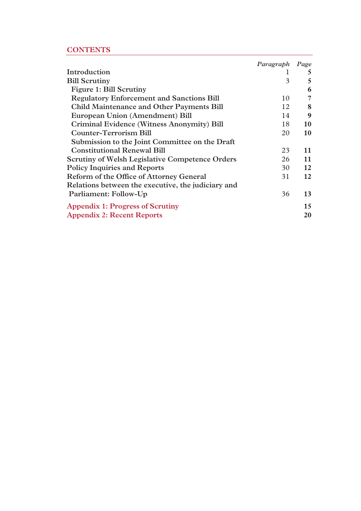# **CONTENTS**

|                                                        | Paragraph Page |    |
|--------------------------------------------------------|----------------|----|
| Introduction                                           |                | 5  |
| <b>Bill Scrutiny</b>                                   | 3              | 5  |
| Figure 1: Bill Scrutiny                                |                | 6  |
| <b>Regulatory Enforcement and Sanctions Bill</b>       | 10             | 7  |
| <b>Child Maintenance and Other Payments Bill</b>       | 12             | 8  |
| European Union (Amendment) Bill                        | 14             | 9  |
| Criminal Evidence (Witness Anonymity) Bill             | 18             | 10 |
| <b>Counter-Terrorism Bill</b>                          | 20             | 10 |
| Submission to the Joint Committee on the Draft         |                |    |
| <b>Constitutional Renewal Bill</b>                     | 23             | 11 |
| <b>Scrutiny of Welsh Legislative Competence Orders</b> | 26             | 11 |
| <b>Policy Inquiries and Reports</b>                    | 30             | 12 |
| Reform of the Office of Attorney General               | 31             | 12 |
| Relations between the executive, the judiciary and     |                |    |
| Parliament: Follow-Up                                  | 36             | 13 |
| <b>Appendix 1: Progress of Scrutiny</b>                |                | 15 |
| <b>Appendix 2: Recent Reports</b>                      |                | 20 |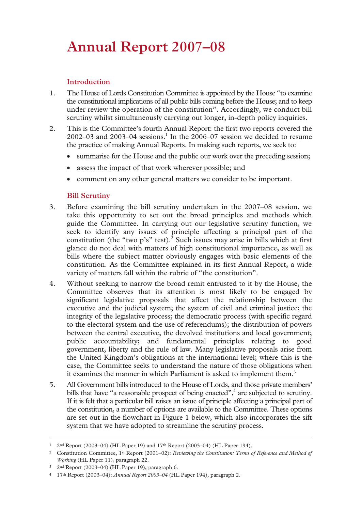# **Annual Report 2007–08**

# **Introduction**

- 1. The House of Lords Constitution Committee is appointed by the House "to examine the constitutional implications of all public bills coming before the House; and to keep under review the operation of the constitution". Accordingly, we conduct bill scrutiny whilst simultaneously carrying out longer, in-depth policy inquiries.
- 2. This is the Committee's fourth Annual Report: the first two reports covered the  $2002 - 03$  and  $2003 - 04$  sessions.<sup>1</sup> In the  $2006 - 07$  session we decided to resume the practice of making Annual Reports. In making such reports, we seek to:
	- summarise for the House and the public our work over the preceding session;
	- assess the impact of that work wherever possible; and
	- comment on any other general matters we consider to be important.

# **Bill Scrutiny**

- 3. Before examining the bill scrutiny undertaken in the 2007–08 session, we take this opportunity to set out the broad principles and methods which guide the Committee. In carrying out our legislative scrutiny function, we seek to identify any issues of principle affecting a principal part of the constitution (the "two  $p's$ " test).<sup>2</sup> Such issues may arise in bills which at first glance do not deal with matters of high constitutional importance, as well as bills where the subject matter obviously engages with basic elements of the constitution. As the Committee explained in its first Annual Report, a wide variety of matters fall within the rubric of "the constitution".
- 4. Without seeking to narrow the broad remit entrusted to it by the House, the Committee observes that its attention is most likely to be engaged by significant legislative proposals that affect the relationship between the executive and the judicial system; the system of civil and criminal justice; the integrity of the legislative process; the democratic process (with specific regard to the electoral system and the use of referendums); the distribution of powers between the central executive, the devolved institutions and local government; public accountability; and fundamental principles relating to good government, liberty and the rule of law. Many legislative proposals arise from the United Kingdom's obligations at the international level; where this is the case, the Committee seeks to understand the nature of those obligations when it examines the manner in which Parliament is asked to implement them.<sup>3</sup>
- 5. All Government bills introduced to the House of Lords, and those private members' bills that have "a reasonable prospect of being enacted",<sup>4</sup> are subjected to scrutiny. If it is felt that a particular bill raises an issue of principle affecting a principal part of the constitution, a number of options are available to the Committee. These options are set out in the flowchart in Figure 1 below, which also incorporates the sift system that we have adopted to streamline the scrutiny process.

 <sup>1 2</sup>nd Report (2003–04) (HL Paper 19) and 17th Report (2003–04) (HL Paper 194).

<sup>2</sup> Constitution Committee, 1st Report (2001–02): *Reviewing the Constitution: Terms of Reference and Method of Working* (HL Paper 11), paragraph 22.

<sup>3 2</sup>nd Report (2003–04) (HL Paper 19), paragraph 6.

<sup>4 17</sup>th Report (2003–04): *Annual Report 2003–04* (HL Paper 194), paragraph 2.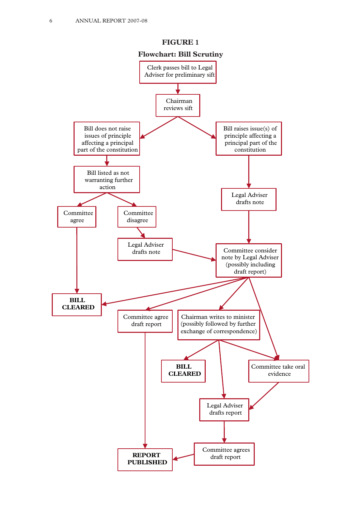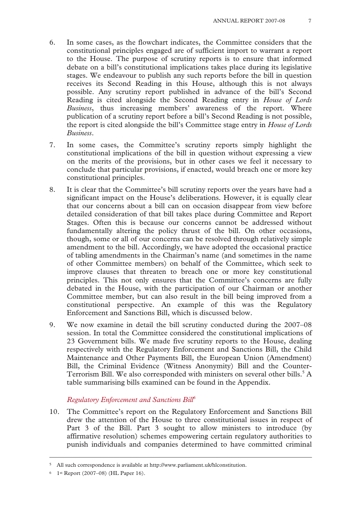- 6. In some cases, as the flowchart indicates, the Committee considers that the constitutional principles engaged are of sufficient import to warrant a report to the House. The purpose of scrutiny reports is to ensure that informed debate on a bill's constitutional implications takes place during its legislative stages. We endeavour to publish any such reports before the bill in question receives its Second Reading in this House, although this is not always possible. Any scrutiny report published in advance of the bill's Second Reading is cited alongside the Second Reading entry in *House of Lords Business*, thus increasing members' awareness of the report. Where publication of a scrutiny report before a bill's Second Reading is not possible, the report is cited alongside the bill's Committee stage entry in *House of Lords Business*.
- 7. In some cases, the Committee's scrutiny reports simply highlight the constitutional implications of the bill in question without expressing a view on the merits of the provisions, but in other cases we feel it necessary to conclude that particular provisions, if enacted, would breach one or more key constitutional principles.
- 8. It is clear that the Committee's bill scrutiny reports over the years have had a significant impact on the House's deliberations. However, it is equally clear that our concerns about a bill can on occasion disappear from view before detailed consideration of that bill takes place during Committee and Report Stages. Often this is because our concerns cannot be addressed without fundamentally altering the policy thrust of the bill. On other occasions, though, some or all of our concerns can be resolved through relatively simple amendment to the bill. Accordingly, we have adopted the occasional practice of tabling amendments in the Chairman's name (and sometimes in the name of other Committee members) on behalf of the Committee, which seek to improve clauses that threaten to breach one or more key constitutional principles. This not only ensures that the Committee's concerns are fully debated in the House, with the participation of our Chairman or another Committee member, but can also result in the bill being improved from a constitutional perspective. An example of this was the Regulatory Enforcement and Sanctions Bill, which is discussed below.
- 9. We now examine in detail the bill scrutiny conducted during the 2007–08 session. In total the Committee considered the constitutional implications of 23 Government bills. We made five scrutiny reports to the House, dealing respectively with the Regulatory Enforcement and Sanctions Bill, the Child Maintenance and Other Payments Bill, the European Union (Amendment) Bill, the Criminal Evidence (Witness Anonymity) Bill and the Counter-Terrorism Bill. We also corresponded with ministers on several other bills.<sup>5</sup> A table summarising bills examined can be found in the Appendix.

#### *Regulatory Enforcement and Sanctions Bill6*

10. The Committee's report on the Regulatory Enforcement and Sanctions Bill drew the attention of the House to three constitutional issues in respect of Part 3 of the Bill. Part 3 sought to allow ministers to introduce (by affirmative resolution) schemes empowering certain regulatory authorities to punish individuals and companies determined to have committed criminal

 <sup>5</sup> All such correspondence is available at http://www.parliament.uk/hlconstitution.

<sup>6 1</sup>st Report (2007–08) (HL Paper 16).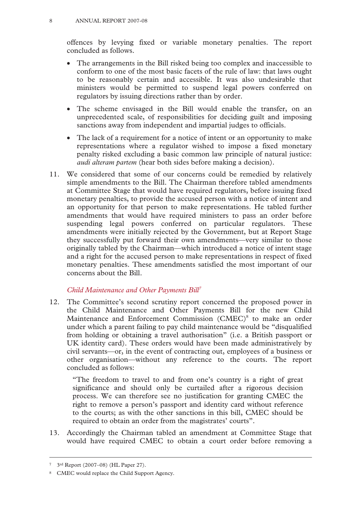offences by levying fixed or variable monetary penalties. The report concluded as follows.

- The arrangements in the Bill risked being too complex and inaccessible to conform to one of the most basic facets of the rule of law: that laws ought to be reasonably certain and accessible. It was also undesirable that ministers would be permitted to suspend legal powers conferred on regulators by issuing directions rather than by order.
- The scheme envisaged in the Bill would enable the transfer, on an unprecedented scale, of responsibilities for deciding guilt and imposing sanctions away from independent and impartial judges to officials.
- The lack of a requirement for a notice of intent or an opportunity to make representations where a regulator wished to impose a fixed monetary penalty risked excluding a basic common law principle of natural justice: *audi alteram partem* (hear both sides before making a decision).
- 11. We considered that some of our concerns could be remedied by relatively simple amendments to the Bill. The Chairman therefore tabled amendments at Committee Stage that would have required regulators, before issuing fixed monetary penalties, to provide the accused person with a notice of intent and an opportunity for that person to make representations. He tabled further amendments that would have required ministers to pass an order before suspending legal powers conferred on particular regulators. These amendments were initially rejected by the Government, but at Report Stage they successfully put forward their own amendments—very similar to those originally tabled by the Chairman—which introduced a notice of intent stage and a right for the accused person to make representations in respect of fixed monetary penalties. These amendments satisfied the most important of our concerns about the Bill.

# *Child Maintenance and Other Payments Bill7*

12. The Committee's second scrutiny report concerned the proposed power in the Child Maintenance and Other Payments Bill for the new Child Maintenance and Enforcement Commission (CMEC)<sup>8</sup> to make an order under which a parent failing to pay child maintenance would be "disqualified from holding or obtaining a travel authorisation" (i.e. a British passport or UK identity card). These orders would have been made administratively by civil servants—or, in the event of contracting out, employees of a business or other organisation—without any reference to the courts. The report concluded as follows:

"The freedom to travel to and from one's country is a right of great significance and should only be curtailed after a rigorous decision process. We can therefore see no justification for granting CMEC the right to remove a person's passport and identity card without reference to the courts; as with the other sanctions in this bill, CMEC should be required to obtain an order from the magistrates' courts".

13. Accordingly the Chairman tabled an amendment at Committee Stage that would have required CMEC to obtain a court order before removing a

 <sup>7 3</sup>rd Report (2007–08) (HL Paper 27).

<sup>8</sup> CMEC would replace the Child Support Agency.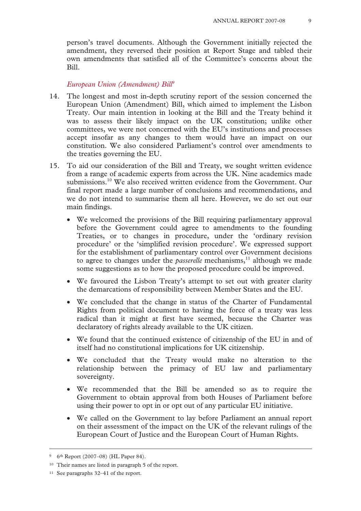person's travel documents. Although the Government initially rejected the amendment, they reversed their position at Report Stage and tabled their own amendments that satisfied all of the Committee's concerns about the Bill.

#### *European Union (Amendment) Bill9*

- 14. The longest and most in-depth scrutiny report of the session concerned the European Union (Amendment) Bill, which aimed to implement the Lisbon Treaty. Our main intention in looking at the Bill and the Treaty behind it was to assess their likely impact on the UK constitution; unlike other committees, we were not concerned with the EU's institutions and processes accept insofar as any changes to them would have an impact on our constitution. We also considered Parliament's control over amendments to the treaties governing the EU.
- 15. To aid our consideration of the Bill and Treaty, we sought written evidence from a range of academic experts from across the UK. Nine academics made submissions.10 We also received written evidence from the Government. Our final report made a large number of conclusions and recommendations, and we do not intend to summarise them all here. However, we do set out our main findings.
	- We welcomed the provisions of the Bill requiring parliamentary approval before the Government could agree to amendments to the founding Treaties, or to changes in procedure, under the 'ordinary revision procedure' or the 'simplified revision procedure'. We expressed support for the establishment of parliamentary control over Government decisions to agree to changes under the *passerelle* mechanisms,<sup>11</sup> although we made some suggestions as to how the proposed procedure could be improved.
	- We favoured the Lisbon Treaty's attempt to set out with greater clarity the demarcations of responsibility between Member States and the EU.
	- We concluded that the change in status of the Charter of Fundamental Rights from political document to having the force of a treaty was less radical than it might at first have seemed, because the Charter was declaratory of rights already available to the UK citizen.
	- We found that the continued existence of citizenship of the EU in and of itself had no constitutional implications for UK citizenship.
	- We concluded that the Treaty would make no alteration to the relationship between the primacy of EU law and parliamentary sovereignty.
	- We recommended that the Bill be amended so as to require the Government to obtain approval from both Houses of Parliament before using their power to opt in or opt out of any particular EU initiative.
	- We called on the Government to lay before Parliament an annual report on their assessment of the impact on the UK of the relevant rulings of the European Court of Justice and the European Court of Human Rights.

 <sup>9 6</sup>th Report (2007–08) (HL Paper 84).

<sup>10</sup> Their names are listed in paragraph 5 of the report.

<sup>11</sup> See paragraphs 32–41 of the report.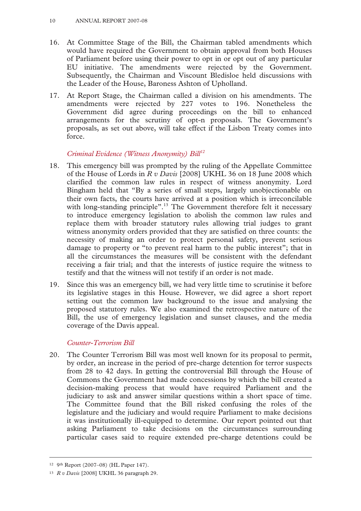- 16. At Committee Stage of the Bill, the Chairman tabled amendments which would have required the Government to obtain approval from both Houses of Parliament before using their power to opt in or opt out of any particular EU initiative. The amendments were rejected by the Government. Subsequently, the Chairman and Viscount Bledisloe held discussions with the Leader of the House, Baroness Ashton of Upholland.
- 17. At Report Stage, the Chairman called a division on his amendments. The amendments were rejected by 227 votes to 196. Nonetheless the Government did agree during proceedings on the bill to enhanced arrangements for the scrutiny of opt-n proposals. The Government's proposals, as set out above, will take effect if the Lisbon Treaty comes into force.

# *Criminal Evidence (Witness Anonymity) Bill12*

- 18. This emergency bill was prompted by the ruling of the Appellate Committee of the House of Lords in *R v Davis* [2008] UKHL 36 on 18 June 2008 which clarified the common law rules in respect of witness anonymity. Lord Bingham held that "By a series of small steps, largely unobjectionable on their own facts, the courts have arrived at a position which is irreconcilable with long-standing principle".<sup>13</sup> The Government therefore felt it necessary to introduce emergency legislation to abolish the common law rules and replace them with broader statutory rules allowing trial judges to grant witness anonymity orders provided that they are satisfied on three counts: the necessity of making an order to protect personal safety, prevent serious damage to property or "to prevent real harm to the public interest"; that in all the circumstances the measures will be consistent with the defendant receiving a fair trial; and that the interests of justice require the witness to testify and that the witness will not testify if an order is not made.
- 19. Since this was an emergency bill, we had very little time to scrutinise it before its legislative stages in this House. However, we did agree a short report setting out the common law background to the issue and analysing the proposed statutory rules. We also examined the retrospective nature of the Bill, the use of emergency legislation and sunset clauses, and the media coverage of the Davis appeal.

# *Counter-Terrorism Bill*

20. The Counter Terrorism Bill was most well known for its proposal to permit, by order, an increase in the period of pre-charge detention for terror suspects from 28 to 42 days. In getting the controversial Bill through the House of Commons the Government had made concessions by which the bill created a decision-making process that would have required Parliament and the judiciary to ask and answer similar questions within a short space of time. The Committee found that the Bill risked confusing the roles of the legislature and the judiciary and would require Parliament to make decisions it was institutionally ill-equipped to determine. Our report pointed out that asking Parliament to take decisions on the circumstances surrounding particular cases said to require extended pre-charge detentions could be

 <sup>12 9</sup>th Report (2007–08) (HL Paper 147).

<sup>13</sup> *R v Davis* [2008] UKHL 36 paragraph 29.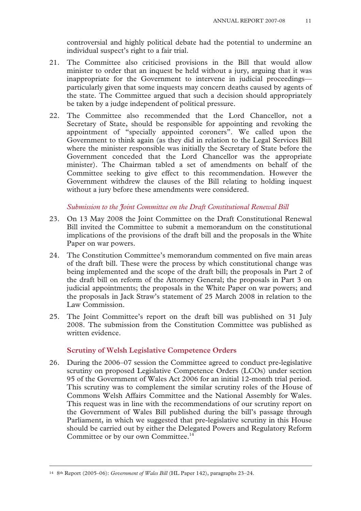controversial and highly political debate had the potential to undermine an individual suspect's right to a fair trial.

- 21. The Committee also criticised provisions in the Bill that would allow minister to order that an inquest be held without a jury, arguing that it was inappropriate for the Government to intervene in judicial proceedings particularly given that some inquests may concern deaths caused by agents of the state. The Committee argued that such a decision should appropriately be taken by a judge independent of political pressure.
- 22. The Committee also recommended that the Lord Chancellor, not a Secretary of State, should be responsible for appointing and revoking the appointment of "specially appointed coroners". We called upon the Government to think again (as they did in relation to the Legal Services Bill where the minister responsible was initially the Secretary of State before the Government conceded that the Lord Chancellor was the appropriate minister). The Chairman tabled a set of amendments on behalf of the Committee seeking to give effect to this recommendation. However the Government withdrew the clauses of the Bill relating to holding inquest without a jury before these amendments were considered.

#### *Submission to the Joint Committee on the Draft Constitutional Renewal Bill*

- 23. On 13 May 2008 the Joint Committee on the Draft Constitutional Renewal Bill invited the Committee to submit a memorandum on the constitutional implications of the provisions of the draft bill and the proposals in the White Paper on war powers.
- 24. The Constitution Committee's memorandum commented on five main areas of the draft bill. These were the process by which constitutional change was being implemented and the scope of the draft bill; the proposals in Part 2 of the draft bill on reform of the Attorney General; the proposals in Part 3 on judicial appointments; the proposals in the White Paper on war powers; and the proposals in Jack Straw's statement of 25 March 2008 in relation to the Law Commission.
- 25. The Joint Committee's report on the draft bill was published on 31 July 2008. The submission from the Constitution Committee was published as written evidence.

#### **Scrutiny of Welsh Legislative Competence Orders**

26. During the 2006–07 session the Committee agreed to conduct pre-legislative scrutiny on proposed Legislative Competence Orders (LCOs) under section 95 of the Government of Wales Act 2006 for an initial 12-month trial period. This scrutiny was to complement the similar scrutiny roles of the House of Commons Welsh Affairs Committee and the National Assembly for Wales. This request was in line with the recommendations of our scrutiny report on the Government of Wales Bill published during the bill's passage through Parliament, in which we suggested that pre-legislative scrutiny in this House should be carried out by either the Delegated Powers and Regulatory Reform Committee or by our own Committee.<sup>14</sup>

 <sup>14 8</sup>th Report (2005–06): *Government of Wales Bill* (HL Paper 142), paragraphs 23–24.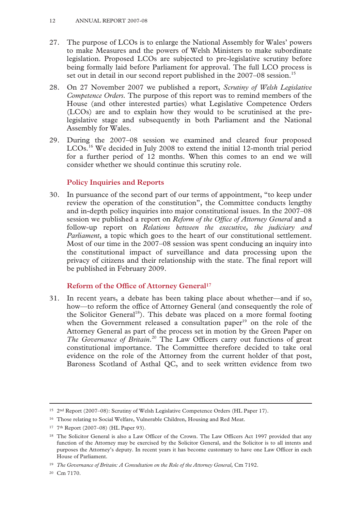- 27. The purpose of LCOs is to enlarge the National Assembly for Wales' powers to make Measures and the powers of Welsh Ministers to make subordinate legislation. Proposed LCOs are subjected to pre-legislative scrutiny before being formally laid before Parliament for approval. The full LCO process is set out in detail in our second report published in the 2007–08 session.<sup>15</sup>
- 28. On 27 November 2007 we published a report, *Scrutiny of Welsh Legislative Competence Orders.* The purpose of this report was to remind members of the House (and other interested parties) what Legislative Competence Orders (LCOs) are and to explain how they would to be scrutinised at the prelegislative stage and subsequently in both Parliament and the National Assembly for Wales.
- 29. During the 2007–08 session we examined and cleared four proposed LCOs.16 We decided in July 2008 to extend the initial 12-month trial period for a further period of 12 months. When this comes to an end we will consider whether we should continue this scrutiny role.

# **Policy Inquiries and Reports**

30. In pursuance of the second part of our terms of appointment, "to keep under review the operation of the constitution", the Committee conducts lengthy and in-depth policy inquiries into major constitutional issues. In the 2007–08 session we published a report on *Reform of the Office of Attorney General* and a follow-up report on *Relations between the executive, the judiciary and Parliament*, a topic which goes to the heart of our constitutional settlement. Most of our time in the 2007–08 session was spent conducing an inquiry into the constitutional impact of surveillance and data processing upon the privacy of citizens and their relationship with the state. The final report will be published in February 2009.

# **Reform of the Office of Attorney General17**

31. In recent years, a debate has been taking place about whether—and if so, how—to reform the office of Attorney General (and consequently the role of the Solicitor General<sup>18</sup>). This debate was placed on a more formal footing when the Government released a consultation paper<sup>19</sup> on the role of the Attorney General as part of the process set in motion by the Green Paper on The Governance of Britain.<sup>20</sup> The Law Officers carry out functions of great constitutional importance. The Committee therefore decided to take oral evidence on the role of the Attorney from the current holder of that post, Baroness Scotland of Asthal QC, and to seek written evidence from two

 <sup>15 2</sup>nd Report (2007–08): Scrutiny of Welsh Legislative Competence Orders (HL Paper 17).

<sup>&</sup>lt;sup>16</sup> Those relating to Social Welfare, Vulnerable Children, Housing and Red Meat.

<sup>17 7</sup>th Report (2007–08) (HL Paper 93).

<sup>&</sup>lt;sup>18</sup> The Solicitor General is also a Law Officer of the Crown. The Law Officers Act 1997 provided that any function of the Attorney may be exercised by the Solicitor General, and the Solicitor is to all intents and purposes the Attorney's deputy. In recent years it has become customary to have one Law Officer in each House of Parliament.

<sup>&</sup>lt;sup>19</sup> *The Governance of Britain: A Consultation on the Role of the Attorney General*, Cm 7192.

<sup>20</sup> Cm 7170.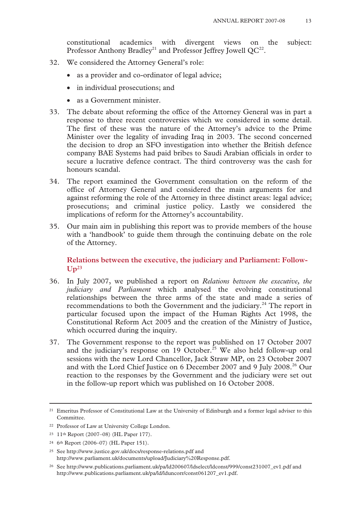constitutional academics with divergent views on the subject: Professor Anthony Bradley<sup>21</sup> and Professor Jeffrey Jowell  $QC^{22}$ .

- 32. We considered the Attorney General's role:
	- as a provider and co-ordinator of legal advice;
	- in individual prosecutions; and
	- as a Government minister.
- 33. The debate about reforming the office of the Attorney General was in part a response to three recent controversies which we considered in some detail. The first of these was the nature of the Attorney's advice to the Prime Minister over the legality of invading Iraq in 2003. The second concerned the decision to drop an SFO investigation into whether the British defence company BAE Systems had paid bribes to Saudi Arabian officials in order to secure a lucrative defence contract. The third controversy was the cash for honours scandal.
- 34. The report examined the Government consultation on the reform of the office of Attorney General and considered the main arguments for and against reforming the role of the Attorney in three distinct areas: legal advice; prosecutions; and criminal justice policy. Lastly we considered the implications of reform for the Attorney's accountability.
- 35. Our main aim in publishing this report was to provide members of the house with a 'handbook' to guide them through the continuing debate on the role of the Attorney.

# **Relations between the executive, the judiciary and Parliament: Follow-Up23**

- 36. In July 2007, we published a report on *Relations between the executive, the judiciary and Parliament* which analysed the evolving constitutional relationships between the three arms of the state and made a series of recommendations to both the Government and the judiciary.<sup>24</sup> The report in particular focused upon the impact of the Human Rights Act 1998, the Constitutional Reform Act 2005 and the creation of the Ministry of Justice, which occurred during the inquiry.
- 37. The Government response to the report was published on 17 October 2007 and the judiciary's response on 19 October.<sup>25</sup> We also held follow-up oral sessions with the new Lord Chancellor, Jack Straw MP, on 23 October 2007 and with the Lord Chief Justice on 6 December 2007 and 9 July 2008.<sup>26</sup> Our reaction to the responses by the Government and the judiciary were set out in the follow-up report which was published on 16 October 2008.

 <sup>21</sup> Emeritus Professor of Constitutional Law at the University of Edinburgh and a former legal adviser to this Committee.

<sup>22</sup> Professor of Law at University College London.

<sup>23 11</sup>th Report (2007–08) (HL Paper 177).

<sup>24 6</sup>th Report (2006–07) (HL Paper 151).

<sup>25</sup> See http://www.justice.gov.uk/docs/response-relations.pdf and http://www.parliament.uk/documents/upload/Judiciary%20Response.pdf.

<sup>26</sup> See http://www.publications.parliament.uk/pa/ld200607/ldselect/ldconst/999/const231007\_ev1.pdf and http://www.publications.parliament.uk/pa/ld/lduncorr/const061207\_ev1.pdf.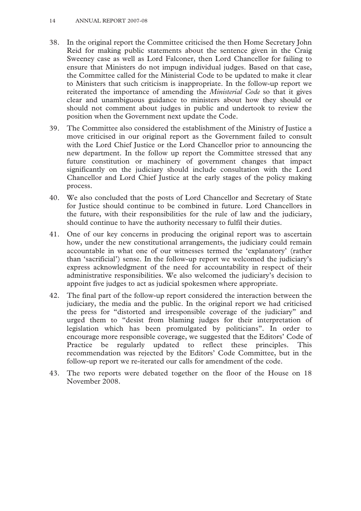- 38. In the original report the Committee criticised the then Home Secretary John Reid for making public statements about the sentence given in the Craig Sweeney case as well as Lord Falconer, then Lord Chancellor for failing to ensure that Ministers do not impugn individual judges. Based on that case, the Committee called for the Ministerial Code to be updated to make it clear to Ministers that such criticism is inappropriate. In the follow-up report we reiterated the importance of amending the *Ministerial Code* so that it gives clear and unambiguous guidance to ministers about how they should or should not comment about judges in public and undertook to review the position when the Government next update the Code.
- 39. The Committee also considered the establishment of the Ministry of Justice a move criticised in our original report as the Government failed to consult with the Lord Chief Justice or the Lord Chancellor prior to announcing the new department. In the follow up report the Committee stressed that any future constitution or machinery of government changes that impact significantly on the judiciary should include consultation with the Lord Chancellor and Lord Chief Justice at the early stages of the policy making process.
- 40. We also concluded that the posts of Lord Chancellor and Secretary of State for Justice should continue to be combined in future. Lord Chancellors in the future, with their responsibilities for the rule of law and the judiciary, should continue to have the authority necessary to fulfil their duties.
- 41. One of our key concerns in producing the original report was to ascertain how, under the new constitutional arrangements, the judiciary could remain accountable in what one of our witnesses termed the 'explanatory' (rather than 'sacrificial') sense. In the follow-up report we welcomed the judiciary's express acknowledgment of the need for accountability in respect of their administrative responsibilities. We also welcomed the judiciary's decision to appoint five judges to act as judicial spokesmen where appropriate.
- 42. The final part of the follow-up report considered the interaction between the judiciary, the media and the public. In the original report we had criticised the press for "distorted and irresponsible coverage of the judiciary" and urged them to "desist from blaming judges for their interpretation of legislation which has been promulgated by politicians". In order to encourage more responsible coverage, we suggested that the Editors' Code of Practice be regularly updated to reflect these principles. This recommendation was rejected by the Editors' Code Committee, but in the follow-up report we re-iterated our calls for amendment of the code.
- 43. The two reports were debated together on the floor of the House on 18 November 2008.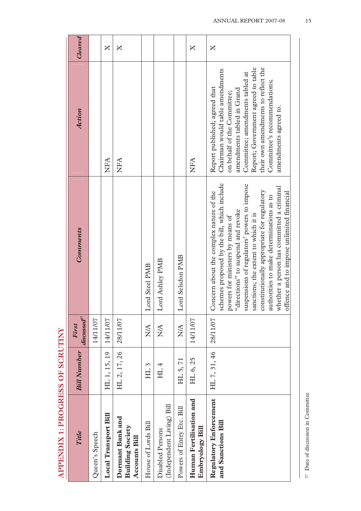| i            |
|--------------|
|              |
|              |
| はくく はく くくはんく |
|              |
|              |
| į            |
|              |
|              |
|              |

| <b>Title</b>                                                        | <b>Bill Number</b> | $discussed^r$<br>First | Comments                                                                                                                                                                                                                                                                                                                                                                                                                                     | Action                                                                                                                                                                                                                                                                                                 | Cleared      |
|---------------------------------------------------------------------|--------------------|------------------------|----------------------------------------------------------------------------------------------------------------------------------------------------------------------------------------------------------------------------------------------------------------------------------------------------------------------------------------------------------------------------------------------------------------------------------------------|--------------------------------------------------------------------------------------------------------------------------------------------------------------------------------------------------------------------------------------------------------------------------------------------------------|--------------|
| Queen's Speech                                                      |                    | 14/11/07               |                                                                                                                                                                                                                                                                                                                                                                                                                                              |                                                                                                                                                                                                                                                                                                        |              |
| Local Transport Bill                                                | HL 1, 15, 19       | 14/11/07               |                                                                                                                                                                                                                                                                                                                                                                                                                                              | NFA                                                                                                                                                                                                                                                                                                    | $\mathsf{X}$ |
| Dormant Bank and<br><b>Building Society</b><br><b>Accounts Bill</b> | HL 2, 17, 26       | 28/11/07               |                                                                                                                                                                                                                                                                                                                                                                                                                                              | NFA                                                                                                                                                                                                                                                                                                    | X            |
| House of Lords Bill                                                 | HL <sub>3</sub>    | $N\!A$                 | Lord Steel PMB                                                                                                                                                                                                                                                                                                                                                                                                                               |                                                                                                                                                                                                                                                                                                        |              |
| (Independent Living) Bill<br>Disabled Persons                       | HL <sub>4</sub>    | <b>NA</b>              | Lord Ashley PMB                                                                                                                                                                                                                                                                                                                                                                                                                              |                                                                                                                                                                                                                                                                                                        |              |
| Powers of Entry Etc. Bill                                           | HL 5, 71           | $\sum_{i=1}^{n}$       | Lord Selsdon PMB                                                                                                                                                                                                                                                                                                                                                                                                                             |                                                                                                                                                                                                                                                                                                        |              |
| Human Fertilisation and<br>Embryology Bill                          | HL 6, 25           | 14/11/07               |                                                                                                                                                                                                                                                                                                                                                                                                                                              | NFA                                                                                                                                                                                                                                                                                                    | $\mathsf{X}$ |
| <b>Regulatory Enforcement</b><br>and Sanctions Bill                 | HL 7, 31, 46       | 28/11/07               | schemes proposed by the bill, which include<br>suspensions of regulators' powers to impose<br>whether a person has committed a criminal<br>constitutionally appropriate for regulatory<br>Concern about the complex nature of the<br>offence and to impose unlimited financial<br>authorities to make determinations as to<br>powers for ministers by means of<br>"directions" to suspend and revoke<br>sanctions; the extent to which it is | Report; Government agreed to table<br>their own amendments to reflect the<br>Chairman would table amendments<br>Committee; amendments tabled at<br>Committee's recommendations;<br>Report published; agreed that<br>amendments tabled in Grand<br>on behalf of the Committee;<br>amendments agreed to. | X            |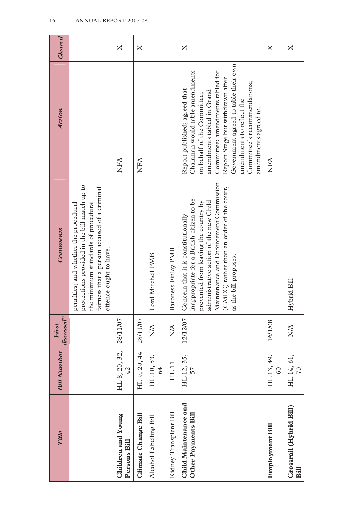| Title                                        | <b>Bill Number</b>             | $discussed^2$<br>First | Comments                                                                                                                                                                                                                                                                            | <b>Action</b>                                                                                                                                                                                                                                                                                                                       | Cleared |
|----------------------------------------------|--------------------------------|------------------------|-------------------------------------------------------------------------------------------------------------------------------------------------------------------------------------------------------------------------------------------------------------------------------------|-------------------------------------------------------------------------------------------------------------------------------------------------------------------------------------------------------------------------------------------------------------------------------------------------------------------------------------|---------|
|                                              |                                |                        | protections provided in the bill match up to<br>the minimum standards of procedural<br>fairness that a person accused of a criminal<br>penalties; and whether the procedural<br>offence ought to have.                                                                              |                                                                                                                                                                                                                                                                                                                                     |         |
| Children and Young<br>Persons Bill           | HL 8, 20, 32,<br>$\frac{2}{4}$ | 28/11/07               |                                                                                                                                                                                                                                                                                     | NFA                                                                                                                                                                                                                                                                                                                                 | X       |
| Climate Change Bill                          | HL 9, 29, 44                   | 28/11/07               |                                                                                                                                                                                                                                                                                     | <b>AHA</b>                                                                                                                                                                                                                                                                                                                          | X       |
| Alcohol Labelling Bill                       | HL 10, 53,<br>64               | $\sum_{i=1}^{n}$       | Lord Mitchell PMB                                                                                                                                                                                                                                                                   |                                                                                                                                                                                                                                                                                                                                     |         |
| Kidney Transplant Bill                       | HL 11                          | $\sum_{i=1}^{n}$       | Baroness Finlay PMB                                                                                                                                                                                                                                                                 |                                                                                                                                                                                                                                                                                                                                     |         |
| Child Maintenance and<br>Other Payments Bill | HL 12, 35,<br>57               | 12/12/07               | administrative action of the new Child<br>Maintenance and Enforcement Commission<br>(CMEC) rather than an order of the court,<br>inappropriate for a British citizen to be<br>prevented from leaving the country by<br>Concern that it is constitutionally<br>as the bill proposes. | Government agreed to table their own<br>Chairman would table amendments<br>Committee; amendments tabled for<br>Report Stage but withdrawn after<br>Committee's recommendations;<br>Report published; agreed that<br>amendments tabled in Grand<br>on behalf of the Committee;<br>amendments to reflect the<br>amendments agreed to. | X       |
| Employment Bill                              | HL 13, 49,<br>60               | 16/1/08                |                                                                                                                                                                                                                                                                                     | NHA                                                                                                                                                                                                                                                                                                                                 | X       |
| Crossrail (Hybrid Bill)<br><b>Bill</b>       | HL 14, 61,<br>70               | $\sum_{i=1}^{n}$       | Hybrid Bill                                                                                                                                                                                                                                                                         |                                                                                                                                                                                                                                                                                                                                     | X       |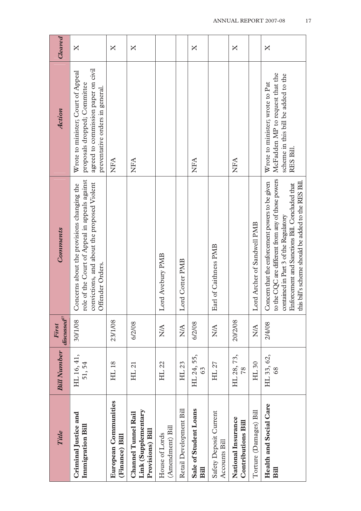| Title                                                                 | <b>Bill Number</b>   | $discussed^r$<br>First | <b>Comments</b>                                                                                                                                                                                                                                        | <b>Action</b>                                                                                                                                | Cleared      |
|-----------------------------------------------------------------------|----------------------|------------------------|--------------------------------------------------------------------------------------------------------------------------------------------------------------------------------------------------------------------------------------------------------|----------------------------------------------------------------------------------------------------------------------------------------------|--------------|
| Criminal Justice and<br>Immigration Bill                              | HL 16, 41,<br>51, 54 | 30/1/08                | role of the Court of Appeal in appeals against<br>convictions, and about the proposed Violent<br>Concerns about the provisions changing the<br>Offender Orders.                                                                                        | agreed to commission paper on civil<br>Wrote to minister; Court of Appeal<br>proposals dropped; Committee<br>preventative orders in general. | X            |
| European Communities<br>(Finance) Bill                                | HL 18                | 23/1/08                |                                                                                                                                                                                                                                                        | NFA                                                                                                                                          | X            |
| Link (Supplementary<br><b>Channel Tunnel Rail</b><br>Provisions) Bill | HL 21                | 6/2/08                 |                                                                                                                                                                                                                                                        | NFA                                                                                                                                          | X            |
| (Amendment) Bill<br>House of Lords                                    | HL 22                | NA                     | Lord Avebury PMB                                                                                                                                                                                                                                       |                                                                                                                                              |              |
| Retail Development Bill                                               | HL 23                | <b>ANA</b>             | Lord Cotter PMB                                                                                                                                                                                                                                        |                                                                                                                                              |              |
| Sale of Student Loans<br>Bill                                         | HL 24, 55,<br>63     | 6/2/08                 |                                                                                                                                                                                                                                                        | NFA                                                                                                                                          | X            |
| Safety Deposit Current<br>Accounts Bill                               | HL 27                | $\frac{A}{N}$          | Earl of Caithness PMB                                                                                                                                                                                                                                  |                                                                                                                                              |              |
| National Insurance<br>Contributions Bill                              | HL 28, 73,<br>78     | 20/2/08                |                                                                                                                                                                                                                                                        | NFA                                                                                                                                          | $\mathsf{X}$ |
| Torture (Damages) Bill                                                | HL30                 | $\sum_{i=1}^{n}$       | Lord Archer of Sandwell PMB                                                                                                                                                                                                                            |                                                                                                                                              |              |
| Health and Social Care<br>Bill                                        | HL 33, 62,           | 2/4/08                 | to the CQC are different from any of those powers<br>Concern that the enforcement powers to be given<br>this bill's scheme should be added to the RES Bill.<br>Enforcement and Sanctions Bill. Concluded that<br>contained in Part 3 of the Regulatory | McFadden MP to request that the<br>scheme in this bill be added to the<br>Wrote to minister; wrote to Pat<br>RES Bill.                       | X            |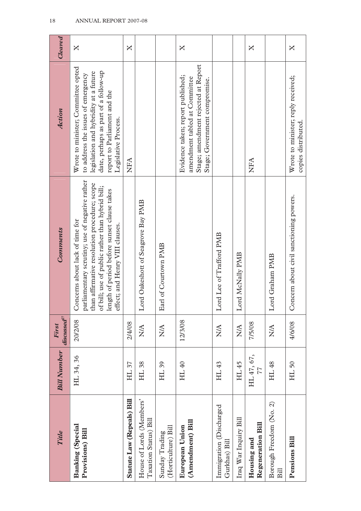|                                                   |                    | First            |                                                                                                                                                                                                                                                                        |                                                                                                                                                                                                                   |              |
|---------------------------------------------------|--------------------|------------------|------------------------------------------------------------------------------------------------------------------------------------------------------------------------------------------------------------------------------------------------------------------------|-------------------------------------------------------------------------------------------------------------------------------------------------------------------------------------------------------------------|--------------|
| Title                                             | <b>Bill Number</b> | $discussed^2$    | <b>Comments</b>                                                                                                                                                                                                                                                        | <b>Action</b>                                                                                                                                                                                                     | Cleared      |
| Banking (Special<br>Provisions) Bill              | HL 34, 36          | 20/2/08          | parliamentary scrutiny; use of negative rather<br>than affirmative resolution procedure; scope<br>of bill; use of public rather than hybrid bill;<br>length of period before sunset clause takes<br>Concerns about lack of time for<br>effect; and Henry VIII clauses. | Wrote to minister; Committee opted<br>date, perhaps as part of a follow-up<br>legislation and hybridity at a future<br>to address the issues of emergency<br>report to Parliament and the<br>Legislative Process. | X            |
| Statute Law (Repeals) Bill                        | HL 37              | 2/4/08           |                                                                                                                                                                                                                                                                        | NFA                                                                                                                                                                                                               | $\mathsf{X}$ |
| House of Lords (Members'<br>Taxation Status) Bill | HL 38              | $\sum_{i=1}^{n}$ | Lord Oakeshott of Seagrove Bay PMB                                                                                                                                                                                                                                     |                                                                                                                                                                                                                   |              |
| (Horticulture) Bill<br>Sunday Trading             | HL 39              | $\sum_{i=1}^{n}$ | Earl of Courtown PMB                                                                                                                                                                                                                                                   |                                                                                                                                                                                                                   |              |
| (Amendment) Bill<br>European Union                | HL 40              | 12/3/08          |                                                                                                                                                                                                                                                                        | Stage; amendment rejected at Report<br>Evidence taken; report published;<br>amendment tabled at Committee<br>Stage; Government compromise.                                                                        | X            |
| Immigration (Discharged<br>Gurkhas) Bill          | HL 43              | $\sum_{i=1}^{n}$ | Lord Lee of Trafford PMB                                                                                                                                                                                                                                               |                                                                                                                                                                                                                   |              |
| Iraq War Inquiry Bill                             | HL 45              | $\sum_{i=1}^{n}$ | Lord McNally PMB                                                                                                                                                                                                                                                       |                                                                                                                                                                                                                   |              |
| Regeneration Bill<br>Housing and                  | HL 47, 67,<br>77   | 7/5/08           |                                                                                                                                                                                                                                                                        | NFA                                                                                                                                                                                                               | X            |
| Borough Freedom (No. 2)<br>Bill                   | HL 48              | $\sum_{i=1}^{n}$ | Lord Graham PMB                                                                                                                                                                                                                                                        |                                                                                                                                                                                                                   |              |
| <b>Pensions Bill</b>                              | HL <sub>50</sub>   | 4/6/08           | Concern about civil sanctioning powers.                                                                                                                                                                                                                                | Wrote to minister; reply received;<br>copies distributed.                                                                                                                                                         | X            |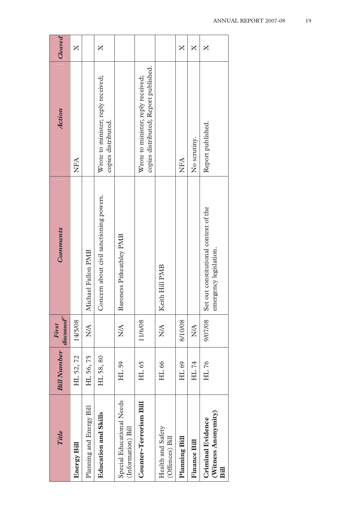| <b>Title</b>                                            | <b>Bill Number</b> | $discussed^2$<br>First | Comments                                                        | Action                                                                      | Cleared            |
|---------------------------------------------------------|--------------------|------------------------|-----------------------------------------------------------------|-----------------------------------------------------------------------------|--------------------|
| <b>Energy Bill</b>                                      | HL 52, 72          | 14/5/08                |                                                                 | <b>NFA</b>                                                                  | X                  |
| Planning and Energy Bill                                | HL 56, 75          | $\frac{1}{2}$          | Michael Fallon PMB                                              |                                                                             |                    |
| Education and Skills                                    | HL 58, 80          |                        | Concern about civil sanctioning powers.                         | Wrote to minister; reply received;<br>copies distributed.                   | X                  |
| Special Educational Needs<br>(Information) Bill         | HL 59              | $\frac{A}{N}$          | Baroness Pitkeathley PMB                                        |                                                                             |                    |
| Counter-Terrorism Bill                                  | HL 65              | 11/6/08                |                                                                 | copies distributed; Report published.<br>Wrote to minister; reply received; |                    |
| Health and Safety<br>(Offences) Bill                    | HL 66              | $\frac{A}{X}$          | Keith Hill PMB                                                  |                                                                             |                    |
| Planning Bill                                           | HL 69              | 8/10/08                |                                                                 | <b>NFA</b>                                                                  | $\mathsf{X}% _{T}$ |
| <b>Finance Bill</b>                                     | HL 74              | $\sum_{i=1}^{n}$       |                                                                 | No scrutiny.                                                                | $\bm{\mathsf{X}}$  |
| (Witness Anonymity)<br><b>Criminal Evidence</b><br>Bill | HL 76              | 9/07/08                | Set out constitutional context of the<br>emergency legislation. | Report published.                                                           | $\bm{\mathsf{X}}$  |